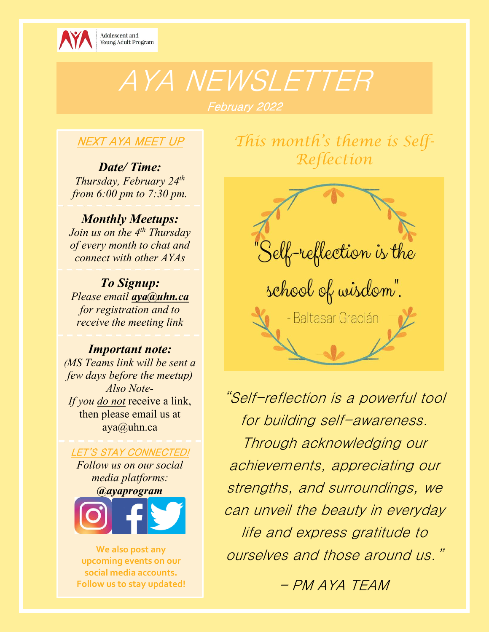

# AYA NEWSLETTER

## February 2022

### NEXT AYA MEET UP

*Date/ Time: Thursday, February 24 th from 6:00 pm to 7:30 pm.*

*Monthly Meetups:*

*Join us on the 4th Thursday of every month to chat and connect with other AYAs*

*To Signup: Please email [aya@uhn.ca](mailto:aya@uhn.ca) for registration and to receive the meeting link*

#### *Important note:*

*(MS Teams link will be sent a few days before the meetup) Also Note-If you do not* receive a link, then please email us at aya@uhn.ca

LET'S STAY CONNECTED!

*Follow us on our social media platforms: @ayaprogram*



**We also post any upcoming events on our social media accounts. Follow us to stay updated!** *This month's theme is Self-Reflection*



"Self-reflection is a powerful tool for building self-awareness. Through acknowledging our achievements, appreciating our strengths, and surroundings, we can unveil the beauty in everyday life and express gratitude to ourselves and those around us."

– PM AYA TEAM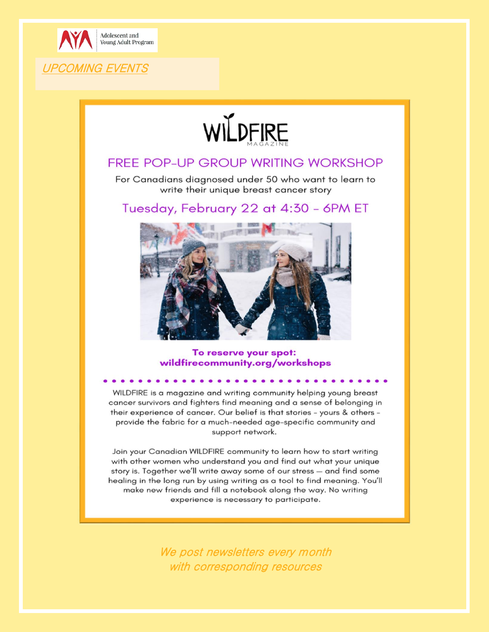

**UPCOMING EVENTS** 



#### **FREE POP-UP GROUP WRITING WORKSHOP**

For Canadians diagnosed under 50 who want to learn to write their unique breast cancer story

Tuesday, February 22 at 4:30 - 6PM ET



To reserve your spot: wildfirecommunity.org/workshops

WILDFIRE is a magazine and writing community helping young breast cancer survivors and fighters find meaning and a sense of belonging in their experience of cancer. Our belief is that stories - yours & others provide the fabric for a much-needed age-specific community and support network.

Join your Canadian WILDFIRE community to learn how to start writing with other women who understand you and find out what your unique story is. Together we'll write away some of our stress - and find some healing in the long run by using writing as a tool to find meaning. You'll make new friends and fill a notebook along the way. No writing experience is necessary to participate.

> We post newsletters every month with corresponding resources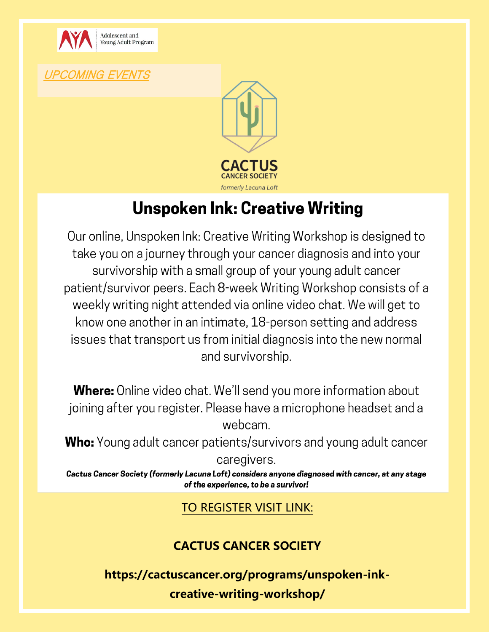

UPCOMING EVENTS



# **Unspoken Ink: Creative Writing**

Our online, Unspoken Ink: Creative Writing Workshop is designed to take you on a journey through your cancer diagnosis and into your survivorship with a small group of your young adult cancer patient/survivor peers. Each 8-week Writing Workshop consists of a weekly writing night attended via online video chat. We will get to know one another in an intimate, 18-person setting and address issues that transport us from initial diagnosis into the new normal and survivorship.

**Where:** Online video chat. We'll send you more information about joining after you register. Please have a microphone headset and a webcam.

**Who:** Young adult cancer patients/survivors and young adult cancer

caregivers.

Cactus Cancer Society (formerly Lacuna Loft) considers anyone diagnosed with cancer, at any stage of the experience, to be a survivor!

#### TO REGISTER VISIT LINK:

### **[CACTUS CANCER SOCIETY](https://cactuscancer.org/programs/unspoken-ink-creative-writing-workshop/)**

**[https://cactuscancer.org/programs/unspoken-ink](https://cactuscancer.org/programs/unspoken-ink-creative-writing-workshop/)[creative-writing-workshop/](https://cactuscancer.org/programs/unspoken-ink-creative-writing-workshop/)**